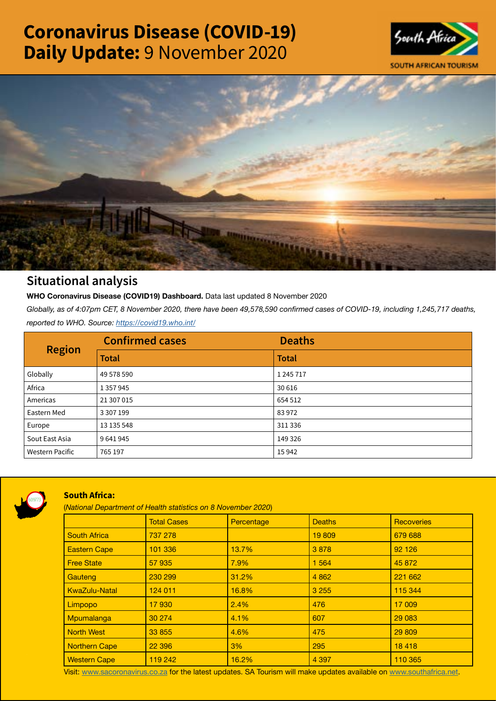# Coronavirus Disease (COVID-19) Daily Update: 9 November 2020





## Situational analysis

**WHO Coronavirus Disease (COVID19) Dashboard.** Data last updated 8 November 2020

*Globally, as of 4:07pm CET, 8 November 2020, there have been 49,578,590 confirmed cases of COVID-19, including 1,245,717 deaths, reported to WHO. Source:<https://covid19.who.int/>*

| <b>Region</b>          | <b>Confirmed cases</b> | <b>Deaths</b> |
|------------------------|------------------------|---------------|
|                        | <b>Total</b>           | <b>Total</b>  |
| Globally               | 49 578 590             | 1 245 717     |
| Africa                 | 1 3 5 7 9 4 5          | 30 616        |
| Americas               | 21 307 015             | 654 512       |
| Eastern Med            | 3 307 199              | 83972         |
| Europe                 | 13 135 548             | 311 336       |
| Sout East Asia         | 9641945                | 149 326       |
| <b>Western Pacific</b> | 765 197                | 15942         |



### South Africa:

(*National Department of Health statistics on 8 November 2020*)

|                      | <b>Total Cases</b> | Percentage | <b>Deaths</b> | Recoveries |  |
|----------------------|--------------------|------------|---------------|------------|--|
| <b>South Africa</b>  | 737 278            |            | 19 809        | 679 688    |  |
| <b>Eastern Cape</b>  | 101 336            | 13.7%      | 3878          | 92 1 26    |  |
| <b>Free State</b>    | 57 935             | 7.9%       | 1 5 6 4       | 45 872     |  |
| Gauteng              | 230 299            | 31.2%      | 4 8 6 2       | 221 662    |  |
| <b>KwaZulu-Natal</b> | 124 011            | 16.8%      | 3 2 5 5       | 115 344    |  |
| Limpopo              | 17930              | 2.4%       | 476           | 17 009     |  |
| Mpumalanga           | 30 274             | 4.1%       | 607           | 29 0 83    |  |
| <b>North West</b>    | 33 855             | 4.6%       | 475           | 29 809     |  |
| <b>Northern Cape</b> | 22 3 96            | 3%         | 295           | 18 4 18    |  |
| <b>Western Cape</b>  | 119 242            | 16.2%      | 4 3 9 7       | 110 365    |  |

Visit: [www.sacoronavirus.co.za](http://www.sacoronavirus.co.za) for the latest updates. SA Tourism will make updates available on [www.southafrica.net.](http://www.southafrica.net)